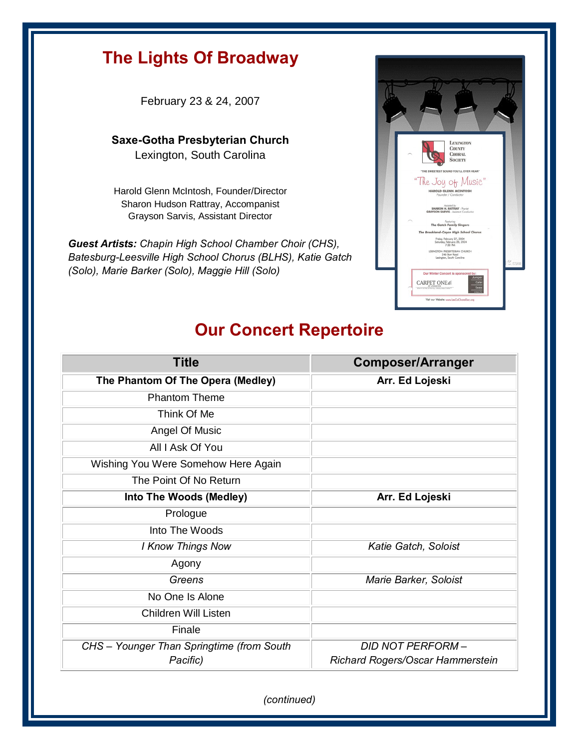## **The Lights Of Broadway**

February 23 & 24, 2007

**Saxe-Gotha Presbyterian Church**  Lexington, South Carolina

Harold Glenn McIntosh, Founder/Director Sharon Hudson Rattray, Accompanist Grayson Sarvis, Assistant Director

*Guest Artists: Chapin High School Chamber Choir (CHS), Batesburg-Leesville High School Chorus (BLHS), Katie Gatch (Solo), Marie Barker (Solo), Maggie Hill (Solo)*



## **Our Concert Repertoire**

| <b>Title</b>                              | <b>Composer/Arranger</b>         |
|-------------------------------------------|----------------------------------|
| The Phantom Of The Opera (Medley)         | Arr. Ed Lojeski                  |
| <b>Phantom Theme</b>                      |                                  |
| Think Of Me                               |                                  |
| Angel Of Music                            |                                  |
| All I Ask Of You                          |                                  |
| Wishing You Were Somehow Here Again       |                                  |
| The Point Of No Return                    |                                  |
| Into The Woods (Medley)                   | Arr. Ed Lojeski                  |
| Prologue                                  |                                  |
| Into The Woods                            |                                  |
| <b>I Know Things Now</b>                  | Katie Gatch, Soloist             |
| Agony                                     |                                  |
| Greens                                    | Marie Barker, Soloist            |
| No One Is Alone                           |                                  |
| <b>Children Will Listen</b>               |                                  |
| Finale                                    |                                  |
| CHS - Younger Than Springtime (from South | <b>DID NOT PERFORM -</b>         |
| Pacific)                                  | Richard Rogers/Oscar Hammerstein |

*(continued)*